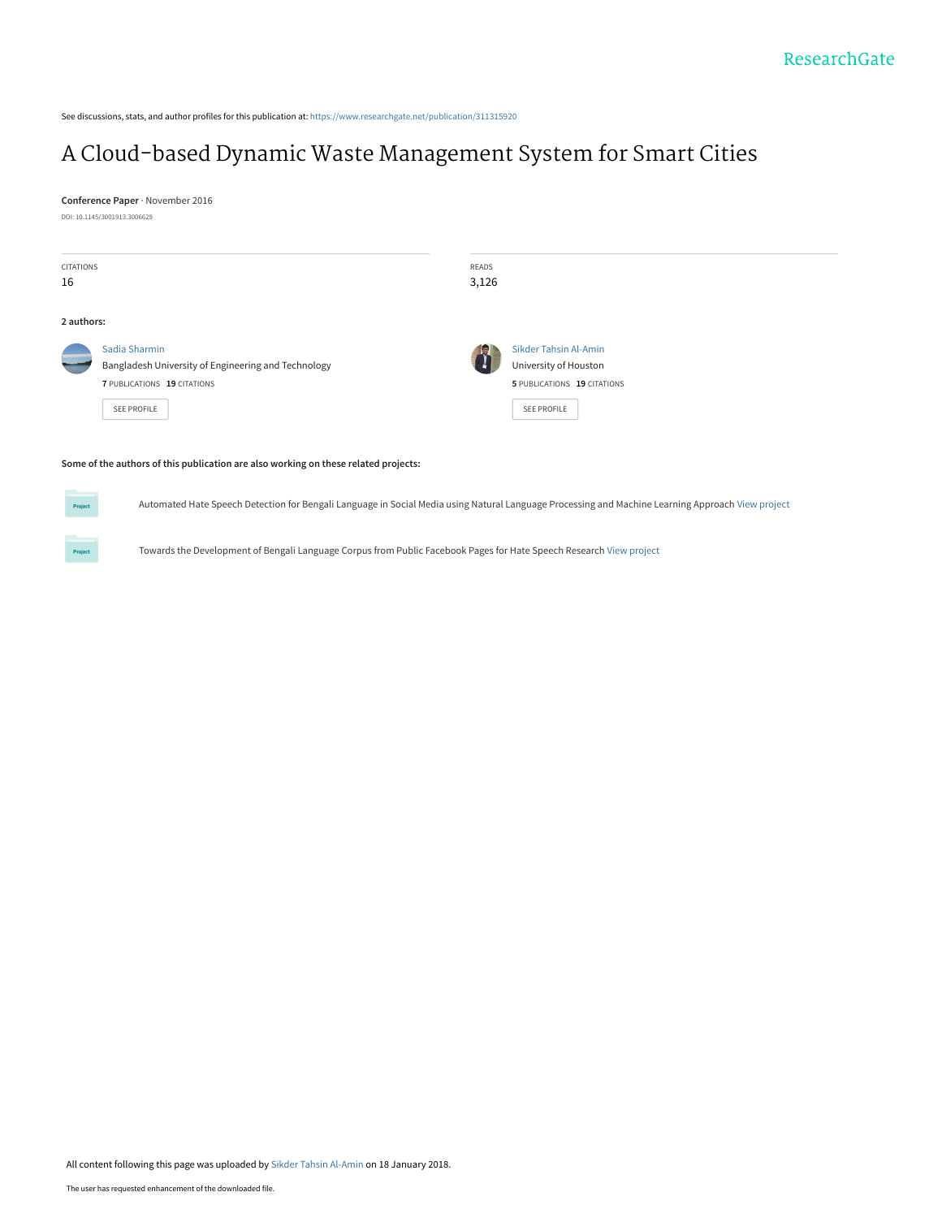See discussions, stats, and author profiles for this publication at: [https://www.researchgate.net/publication/311315920](https://www.researchgate.net/publication/311315920_A_Cloud-based_Dynamic_Waste_Management_System_for_Smart_Cities?enrichId=rgreq-beb31b060f133b0f4e329dc1544e9336-XXX&enrichSource=Y292ZXJQYWdlOzMxMTMxNTkyMDtBUzo1ODQyMDM3MTY1NDY1NjBAMTUxNjI5NjQyODgyNw%3D%3D&el=1_x_2&_esc=publicationCoverPdf)

# [A Cloud-based Dynamic Waste Management System for Smart Cities](https://www.researchgate.net/publication/311315920_A_Cloud-based_Dynamic_Waste_Management_System_for_Smart_Cities?enrichId=rgreq-beb31b060f133b0f4e329dc1544e9336-XXX&enrichSource=Y292ZXJQYWdlOzMxMTMxNTkyMDtBUzo1ODQyMDM3MTY1NDY1NjBAMTUxNjI5NjQyODgyNw%3D%3D&el=1_x_3&_esc=publicationCoverPdf)

**Conference Paper** · November 2016

DOI: 10.1145/3001913.3006629

**Project** 

| <b>CITATIONS</b><br>16 |                                                                                                   | READS<br>3,126 |                                                                            |
|------------------------|---------------------------------------------------------------------------------------------------|----------------|----------------------------------------------------------------------------|
| 2 authors:             | Sadia Sharmin                                                                                     |                | Sikder Tahsin Al-Amin                                                      |
|                        | Bangladesh University of Engineering and Technology<br>7 PUBLICATIONS 19 CITATIONS<br>SEE PROFILE |                | University of Houston<br>5 PUBLICATIONS 19 CITATIONS<br><b>SEE PROFILE</b> |

#### **Some of the authors of this publication are also working on these related projects:**

Automated Hate Speech Detection for Bengali Language in Social Media using Natural Language Processing and Machine Learning Approach [View project](https://www.researchgate.net/project/Automated-Hate-Speech-Detection-for-Bengali-Language-in-Social-Media-using-Natural-Language-Processing-and-Machine-Learning-Approach?enrichId=rgreq-beb31b060f133b0f4e329dc1544e9336-XXX&enrichSource=Y292ZXJQYWdlOzMxMTMxNTkyMDtBUzo1ODQyMDM3MTY1NDY1NjBAMTUxNjI5NjQyODgyNw%3D%3D&el=1_x_9&_esc=publicationCoverPdf)

Towards the Development of Bengali Language Corpus from Public Facebook Pages for Hate Speech Research [View project](https://www.researchgate.net/project/Towards-the-Development-of-Bengali-Language-Corpus-from-Public-Facebook-Pages-for-Hate-Speech-Research?enrichId=rgreq-beb31b060f133b0f4e329dc1544e9336-XXX&enrichSource=Y292ZXJQYWdlOzMxMTMxNTkyMDtBUzo1ODQyMDM3MTY1NDY1NjBAMTUxNjI5NjQyODgyNw%3D%3D&el=1_x_9&_esc=publicationCoverPdf)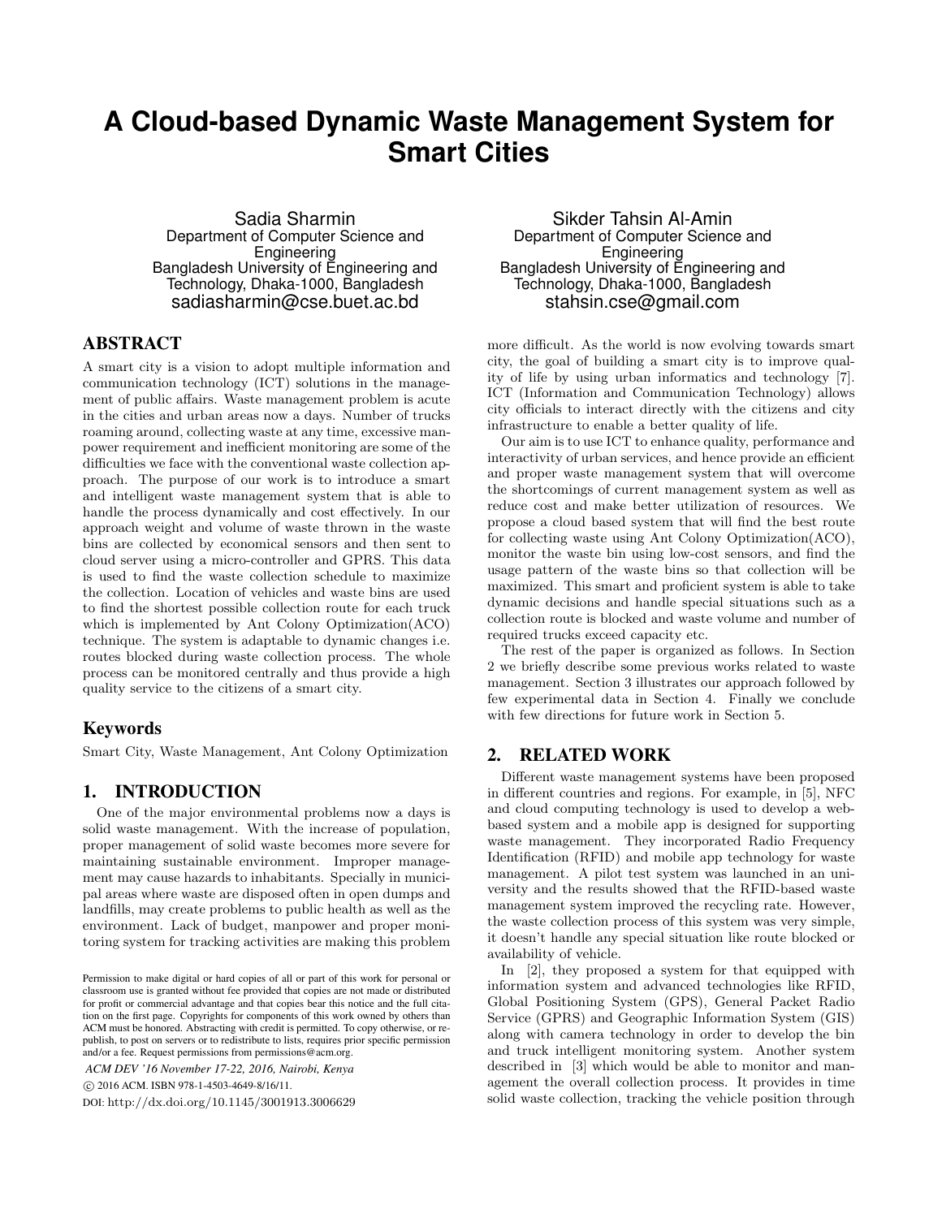# **A Cloud-based Dynamic Waste Management System for Smart Cities**

Sadia Sharmin Department of Computer Science and **Engineering** Bangladesh University of Engineering and Technology, Dhaka-1000, Bangladesh sadiasharmin@cse.buet.ac.bd

## ABSTRACT

A smart city is a vision to adopt multiple information and communication technology (ICT) solutions in the management of public affairs. Waste management problem is acute in the cities and urban areas now a days. Number of trucks roaming around, collecting waste at any time, excessive manpower requirement and inefficient monitoring are some of the difficulties we face with the conventional waste collection approach. The purpose of our work is to introduce a smart and intelligent waste management system that is able to handle the process dynamically and cost effectively. In our approach weight and volume of waste thrown in the waste bins are collected by economical sensors and then sent to cloud server using a micro-controller and GPRS. This data is used to find the waste collection schedule to maximize the collection. Location of vehicles and waste bins are used to find the shortest possible collection route for each truck which is implemented by Ant Colony Optimization(ACO) technique. The system is adaptable to dynamic changes i.e. routes blocked during waste collection process. The whole process can be monitored centrally and thus provide a high quality service to the citizens of a smart city.

## Keywords

Smart City, Waste Management, Ant Colony Optimization

## 1. INTRODUCTION

One of the major environmental problems now a days is solid waste management. With the increase of population, proper management of solid waste becomes more severe for maintaining sustainable environment. Improper management may cause hazards to inhabitants. Specially in municipal areas where waste are disposed often in open dumps and landfills, may create problems to public health as well as the environment. Lack of budget, manpower and proper monitoring system for tracking activities are making this problem

*ACM DEV '16 November 17-22, 2016, Nairobi, Kenya*

c 2016 ACM. ISBN 978-1-4503-4649-8/16/11.

DOI: http://dx.doi.org/10.1145/3001913.3006629

Sikder Tahsin Al-Amin Department of Computer Science and **Engineering** Bangladesh University of Engineering and Technology, Dhaka-1000, Bangladesh stahsin.cse@gmail.com

more difficult. As the world is now evolving towards smart city, the goal of building a smart city is to improve quality of life by using urban informatics and technology [7]. ICT (Information and Communication Technology) allows city officials to interact directly with the citizens and city infrastructure to enable a better quality of life.

Our aim is to use ICT to enhance quality, performance and interactivity of urban services, and hence provide an efficient and proper waste management system that will overcome the shortcomings of current management system as well as reduce cost and make better utilization of resources. We propose a cloud based system that will find the best route for collecting waste using Ant Colony Optimization(ACO), monitor the waste bin using low-cost sensors, and find the usage pattern of the waste bins so that collection will be maximized. This smart and proficient system is able to take dynamic decisions and handle special situations such as a collection route is blocked and waste volume and number of required trucks exceed capacity etc.

The rest of the paper is organized as follows. In Section 2 we briefly describe some previous works related to waste management. Section 3 illustrates our approach followed by few experimental data in Section 4. Finally we conclude with few directions for future work in Section 5.

#### 2. RELATED WORK

Different waste management systems have been proposed in different countries and regions. For example, in [5], NFC and cloud computing technology is used to develop a webbased system and a mobile app is designed for supporting waste management. They incorporated Radio Frequency Identification (RFID) and mobile app technology for waste management. A pilot test system was launched in an university and the results showed that the RFID-based waste management system improved the recycling rate. However, the waste collection process of this system was very simple, it doesn't handle any special situation like route blocked or availability of vehicle.

In [2], they proposed a system for that equipped with information system and advanced technologies like RFID, Global Positioning System (GPS), General Packet Radio Service (GPRS) and Geographic Information System (GIS) along with camera technology in order to develop the bin and truck intelligent monitoring system. Another system described in [3] which would be able to monitor and management the overall collection process. It provides in time solid waste collection, tracking the vehicle position through

Permission to make digital or hard copies of all or part of this work for personal or classroom use is granted without fee provided that copies are not made or distributed for profit or commercial advantage and that copies bear this notice and the full citation on the first page. Copyrights for components of this work owned by others than ACM must be honored. Abstracting with credit is permitted. To copy otherwise, or republish, to post on servers or to redistribute to lists, requires prior specific permission and/or a fee. Request permissions from permissions@acm.org.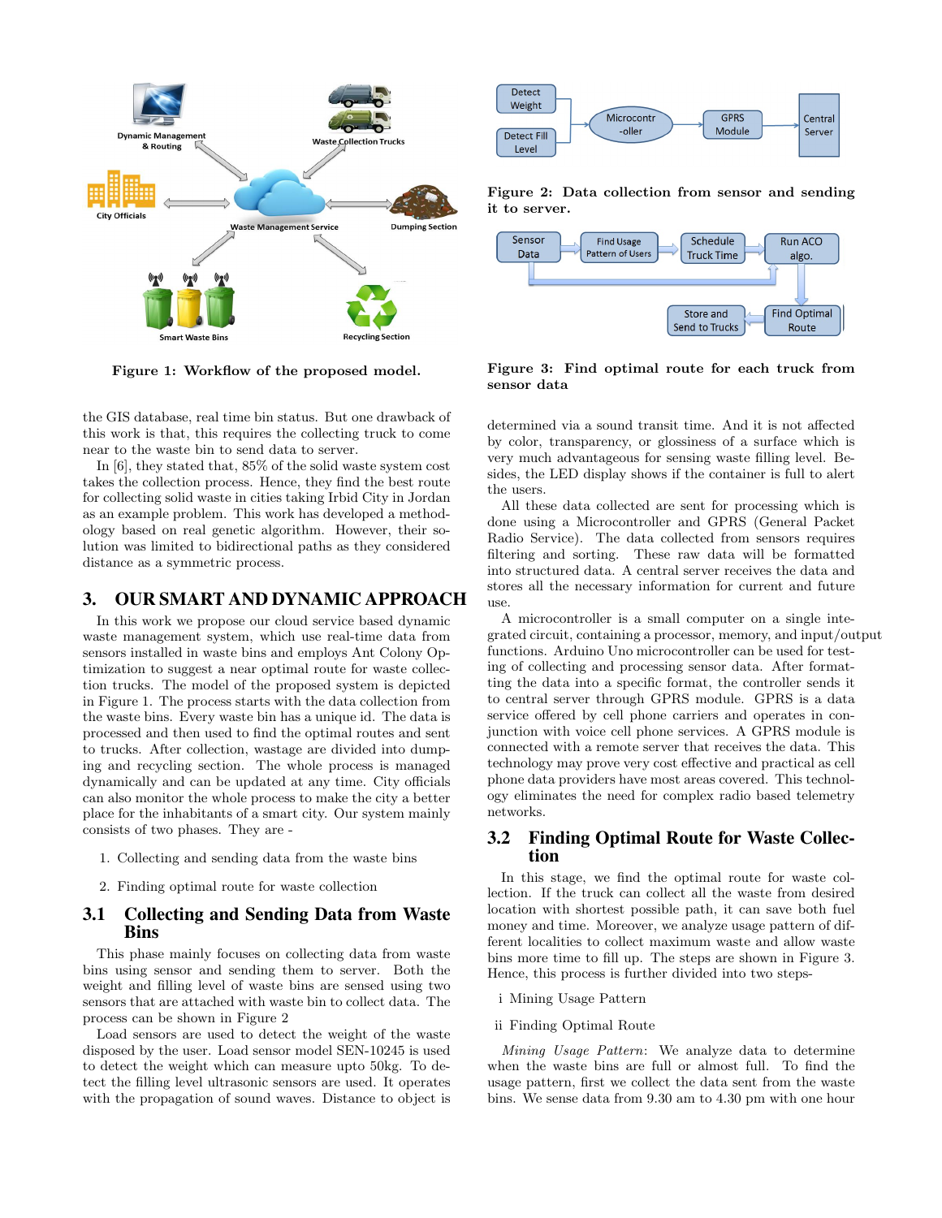

Figure 1: Workflow of the proposed model.

the GIS database, real time bin status. But one drawback of this work is that, this requires the collecting truck to come near to the waste bin to send data to server.

In [6], they stated that, 85% of the solid waste system cost takes the collection process. Hence, they find the best route for collecting solid waste in cities taking Irbid City in Jordan as an example problem. This work has developed a methodology based on real genetic algorithm. However, their solution was limited to bidirectional paths as they considered distance as a symmetric process.

### 3. OUR SMART AND DYNAMIC APPROACH

In this work we propose our cloud service based dynamic waste management system, which use real-time data from sensors installed in waste bins and employs Ant Colony Optimization to suggest a near optimal route for waste collection trucks. The model of the proposed system is depicted in Figure 1. The process starts with the data collection from the waste bins. Every waste bin has a unique id. The data is processed and then used to find the optimal routes and sent to trucks. After collection, wastage are divided into dumping and recycling section. The whole process is managed dynamically and can be updated at any time. City officials can also monitor the whole process to make the city a better place for the inhabitants of a smart city. Our system mainly consists of two phases. They are -

- 1. Collecting and sending data from the waste bins
- 2. Finding optimal route for waste collection

## 3.1 Collecting and Sending Data from Waste Bins

This phase mainly focuses on collecting data from waste bins using sensor and sending them to server. Both the weight and filling level of waste bins are sensed using two sensors that are attached with waste bin to collect data. The process can be shown in Figure 2

Load sensors are used to detect the weight of the waste disposed by the user. Load sensor model SEN-10245 is used to detect the weight which can measure upto 50kg. To detect the filling level ultrasonic sensors are used. It operates with the propagation of sound waves. Distance to object is



Figure 2: Data collection from sensor and sending it to server.



Figure 3: Find optimal route for each truck from sensor data

determined via a sound transit time. And it is not affected by color, transparency, or glossiness of a surface which is very much advantageous for sensing waste filling level. Besides, the LED display shows if the container is full to alert the users.

All these data collected are sent for processing which is done using a Microcontroller and GPRS (General Packet Radio Service). The data collected from sensors requires filtering and sorting. These raw data will be formatted into structured data. A central server receives the data and stores all the necessary information for current and future use.

A microcontroller is a small computer on a single integrated circuit, containing a processor, memory, and input/output functions. Arduino Uno microcontroller can be used for testing of collecting and processing sensor data. After formatting the data into a specific format, the controller sends it to central server through GPRS module. GPRS is a data service offered by cell phone carriers and operates in conjunction with voice cell phone services. A GPRS module is connected with a remote server that receives the data. This technology may prove very cost effective and practical as cell phone data providers have most areas covered. This technology eliminates the need for complex radio based telemetry networks.

### 3.2 Finding Optimal Route for Waste Collection

In this stage, we find the optimal route for waste collection. If the truck can collect all the waste from desired location with shortest possible path, it can save both fuel money and time. Moreover, we analyze usage pattern of different localities to collect maximum waste and allow waste bins more time to fill up. The steps are shown in Figure 3. Hence, this process is further divided into two steps-

- i Mining Usage Pattern
- ii Finding Optimal Route

Mining Usage Pattern: We analyze data to determine when the waste bins are full or almost full. To find the usage pattern, first we collect the data sent from the waste bins. We sense data from 9.30 am to 4.30 pm with one hour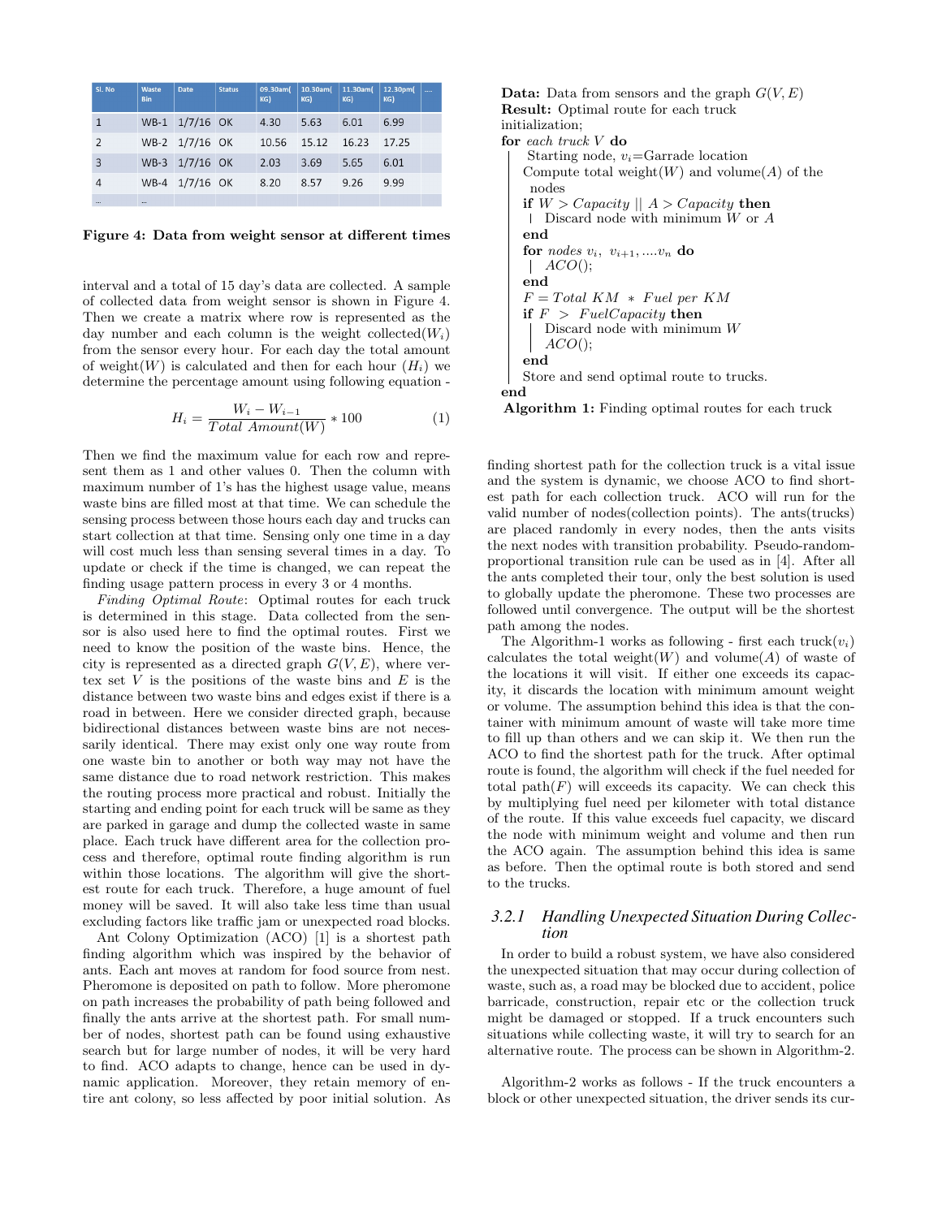| SI. No         | Waste<br><b>Bin</b> | Date           | <b>Status</b> | 09.30am(<br>KG) | 10.30am(<br>KG) | 11.30am(<br>KG) | 12.30pm(<br>KG) |  |
|----------------|---------------------|----------------|---------------|-----------------|-----------------|-----------------|-----------------|--|
|                |                     | WB-1 1/7/16 OK |               | 4.30            | 5.63            | 6.01            | 6.99            |  |
| 2              |                     | WB-2 1/7/16 OK |               | 10.56           | 15.12           | 16.23           | 17.25           |  |
| 3              |                     | WB-3 1/7/16 OK |               | 2.03            | 3.69            | 5.65            | 6.01            |  |
| $\overline{4}$ |                     | WB-4 1/7/16 OK |               | 8.20            | 8.57            | 9.26            | 9.99            |  |
|                |                     |                |               |                 |                 |                 |                 |  |

Figure 4: Data from weight sensor at different times

interval and a total of 15 day's data are collected. A sample of collected data from weight sensor is shown in Figure 4. Then we create a matrix where row is represented as the day number and each column is the weight collected  $(W_i)$ from the sensor every hour. For each day the total amount of weight(W) is calculated and then for each hour  $(H_i)$  we determine the percentage amount using following equation -

$$
H_i = \frac{W_i - W_{i-1}}{Total\ Amount(W)} * 100\tag{1}
$$

Then we find the maximum value for each row and represent them as 1 and other values 0. Then the column with maximum number of 1's has the highest usage value, means waste bins are filled most at that time. We can schedule the sensing process between those hours each day and trucks can start collection at that time. Sensing only one time in a day will cost much less than sensing several times in a day. To update or check if the time is changed, we can repeat the finding usage pattern process in every 3 or 4 months.

Finding Optimal Route: Optimal routes for each truck is determined in this stage. Data collected from the sensor is also used here to find the optimal routes. First we need to know the position of the waste bins. Hence, the city is represented as a directed graph  $G(V, E)$ , where vertex set  $V$  is the positions of the waste bins and  $E$  is the distance between two waste bins and edges exist if there is a road in between. Here we consider directed graph, because bidirectional distances between waste bins are not necessarily identical. There may exist only one way route from one waste bin to another or both way may not have the same distance due to road network restriction. This makes the routing process more practical and robust. Initially the starting and ending point for each truck will be same as they are parked in garage and dump the collected waste in same place. Each truck have different area for the collection process and therefore, optimal route finding algorithm is run within those locations. The algorithm will give the shortest route for each truck. Therefore, a huge amount of fuel money will be saved. It will also take less time than usual excluding factors like traffic jam or unexpected road blocks.

Ant Colony Optimization (ACO) [1] is a shortest path finding algorithm which was inspired by the behavior of ants. Each ant moves at random for food source from nest. Pheromone is deposited on path to follow. More pheromone on path increases the probability of path being followed and finally the ants arrive at the shortest path. For small number of nodes, shortest path can be found using exhaustive search but for large number of nodes, it will be very hard to find. ACO adapts to change, hence can be used in dynamic application. Moreover, they retain memory of entire ant colony, so less affected by poor initial solution. As **Data:** Data from sensors and the graph  $G(V, E)$ Result: Optimal route for each truck initialization; for each truck V do Starting node,  $v_i$ =Garrade location Compute total weight $(W)$  and volume $(A)$  of the nodes if  $W > Capacity \parallel A > Capacity$  then Discard node with minimum  $W$  or  $A$ end for nodes  $v_i$ ,  $v_{i+1}$ , ....  $v_n$  do  $\mid ACO($ : end  $F = Total KM * Fuel per KM$ if  $F > \text{FuelCapacity}$  then Discard node with minimum W  $ACO($ ; end Store and send optimal route to trucks. end Algorithm 1: Finding optimal routes for each truck

finding shortest path for the collection truck is a vital issue and the system is dynamic, we choose ACO to find shortest path for each collection truck. ACO will run for the valid number of nodes(collection points). The ants(trucks) are placed randomly in every nodes, then the ants visits the next nodes with transition probability. Pseudo-randomproportional transition rule can be used as in [4]. After all the ants completed their tour, only the best solution is used to globally update the pheromone. These two processes are followed until convergence. The output will be the shortest path among the nodes.

The Algorithm-1 works as following - first each truck $(v_i)$ calculates the total weight $(W)$  and volume $(A)$  of waste of the locations it will visit. If either one exceeds its capacity, it discards the location with minimum amount weight or volume. The assumption behind this idea is that the container with minimum amount of waste will take more time to fill up than others and we can skip it. We then run the ACO to find the shortest path for the truck. After optimal route is found, the algorithm will check if the fuel needed for total  $path(F)$  will exceeds its capacity. We can check this by multiplying fuel need per kilometer with total distance of the route. If this value exceeds fuel capacity, we discard the node with minimum weight and volume and then run the ACO again. The assumption behind this idea is same as before. Then the optimal route is both stored and send to the trucks.

#### *3.2.1 Handling Unexpected Situation During Collection*

In order to build a robust system, we have also considered the unexpected situation that may occur during collection of waste, such as, a road may be blocked due to accident, police barricade, construction, repair etc or the collection truck might be damaged or stopped. If a truck encounters such situations while collecting waste, it will try to search for an alternative route. The process can be shown in Algorithm-2.

Algorithm-2 works as follows - If the truck encounters a block or other unexpected situation, the driver sends its cur